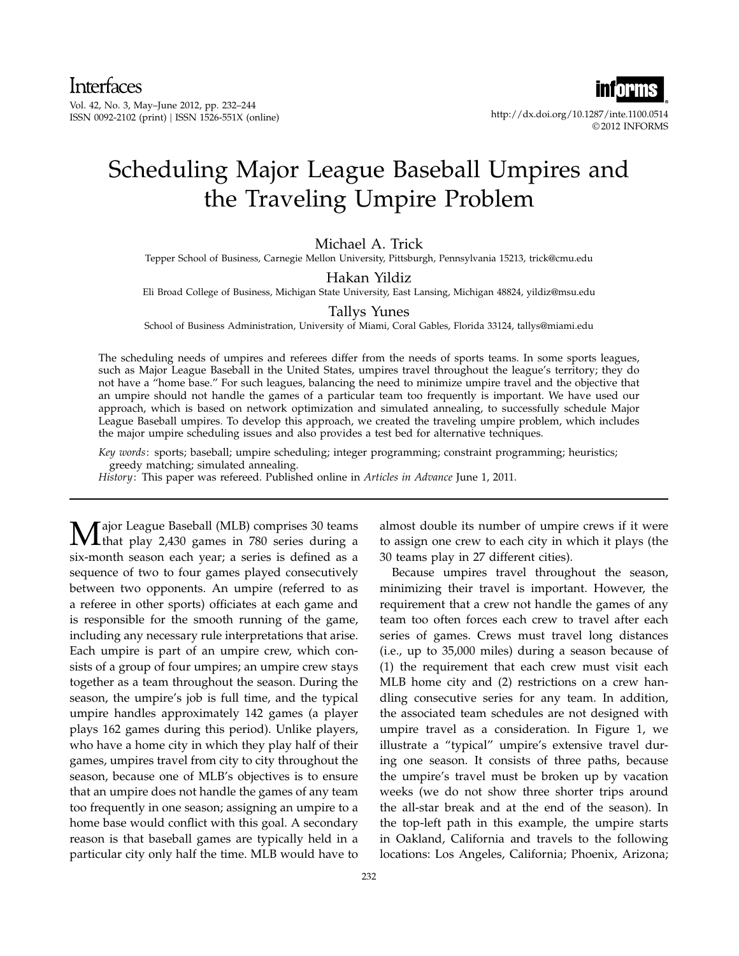Vol. 42, No. 3, May–June 2012, pp. 232–244 ISSN 0092-2102 (print) ISSN 1526-551X (online) http://dx.doi.org/10.1287/inte.1100.0514



© 2012 INFORMS

# Scheduling Major League Baseball Umpires and the Traveling Umpire Problem

### Michael A. Trick

Tepper School of Business, Carnegie Mellon University, Pittsburgh, Pennsylvania 15213, trick@cmu.edu

### Hakan Yildiz

Eli Broad College of Business, Michigan State University, East Lansing, Michigan 48824, yildiz@msu.edu

### Tallys Yunes

School of Business Administration, University of Miami, Coral Gables, Florida 33124, tallys@miami.edu

The scheduling needs of umpires and referees differ from the needs of sports teams. In some sports leagues, such as Major League Baseball in the United States, umpires travel throughout the league's territory; they do not have a "home base." For such leagues, balancing the need to minimize umpire travel and the objective that an umpire should not handle the games of a particular team too frequently is important. We have used our approach, which is based on network optimization and simulated annealing, to successfully schedule Major League Baseball umpires. To develop this approach, we created the traveling umpire problem, which includes the major umpire scheduling issues and also provides a test bed for alternative techniques.

Key words: sports; baseball; umpire scheduling; integer programming; constraint programming; heuristics; greedy matching; simulated annealing.

History: This paper was refereed. Published online in Articles in Advance June 1, 2011.

**M**ajor League Baseball (MLB) comprises 30 teams<br>that play 2,430 games in 780 series during a six-month season each year; a series is defined as a sequence of two to four games played consecutively between two opponents. An umpire (referred to as a referee in other sports) officiates at each game and is responsible for the smooth running of the game, including any necessary rule interpretations that arise. Each umpire is part of an umpire crew, which consists of a group of four umpires; an umpire crew stays together as a team throughout the season. During the season, the umpire's job is full time, and the typical umpire handles approximately 142 games (a player plays 162 games during this period). Unlike players, who have a home city in which they play half of their games, umpires travel from city to city throughout the season, because one of MLB's objectives is to ensure that an umpire does not handle the games of any team too frequently in one season; assigning an umpire to a home base would conflict with this goal. A secondary reason is that baseball games are typically held in a particular city only half the time. MLB would have to

almost double its number of umpire crews if it were to assign one crew to each city in which it plays (the 30 teams play in 27 different cities).

Because umpires travel throughout the season, minimizing their travel is important. However, the requirement that a crew not handle the games of any team too often forces each crew to travel after each series of games. Crews must travel long distances (i.e., up to 35,000 miles) during a season because of (1) the requirement that each crew must visit each MLB home city and (2) restrictions on a crew handling consecutive series for any team. In addition, the associated team schedules are not designed with umpire travel as a consideration. In Figure 1, we illustrate a "typical" umpire's extensive travel during one season. It consists of three paths, because the umpire's travel must be broken up by vacation weeks (we do not show three shorter trips around the all-star break and at the end of the season). In the top-left path in this example, the umpire starts in Oakland, California and travels to the following locations: Los Angeles, California; Phoenix, Arizona;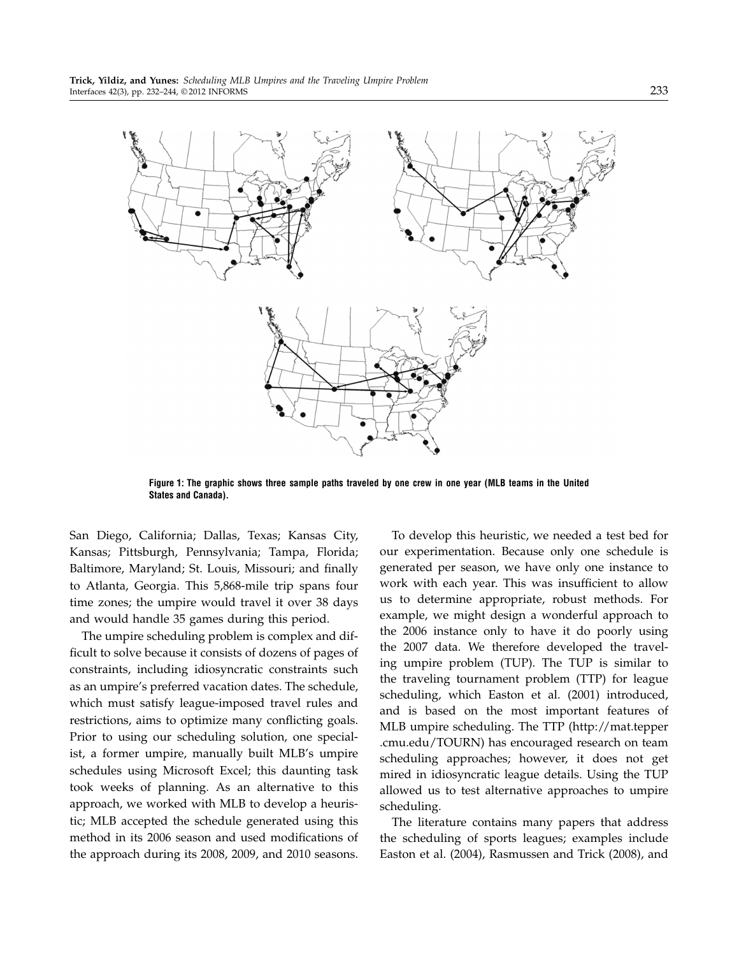

Figure 1: The graphic shows three sample paths traveled by one crew in one year (MLB teams in the United States and Canada).

San Diego, California; Dallas, Texas; Kansas City, Kansas; Pittsburgh, Pennsylvania; Tampa, Florida; Baltimore, Maryland; St. Louis, Missouri; and finally to Atlanta, Georgia. This 5,868-mile trip spans four time zones; the umpire would travel it over 38 days and would handle 35 games during this period.

The umpire scheduling problem is complex and difficult to solve because it consists of dozens of pages of constraints, including idiosyncratic constraints such as an umpire's preferred vacation dates. The schedule, which must satisfy league-imposed travel rules and restrictions, aims to optimize many conflicting goals. Prior to using our scheduling solution, one specialist, a former umpire, manually built MLB's umpire schedules using Microsoft Excel; this daunting task took weeks of planning. As an alternative to this approach, we worked with MLB to develop a heuristic; MLB accepted the schedule generated using this method in its 2006 season and used modifications of the approach during its 2008, 2009, and 2010 seasons.

To develop this heuristic, we needed a test bed for our experimentation. Because only one schedule is generated per season, we have only one instance to work with each year. This was insufficient to allow us to determine appropriate, robust methods. For example, we might design a wonderful approach to the 2006 instance only to have it do poorly using the 2007 data. We therefore developed the traveling umpire problem (TUP). The TUP is similar to the traveling tournament problem (TTP) for league scheduling, which Easton et al. (2001) introduced, and is based on the most important features of MLB umpire scheduling. The TTP (http://mat.tepper .cmu.edu/TOURN) has encouraged research on team scheduling approaches; however, it does not get mired in idiosyncratic league details. Using the TUP allowed us to test alternative approaches to umpire scheduling.

The literature contains many papers that address the scheduling of sports leagues; examples include Easton et al. (2004), Rasmussen and Trick (2008), and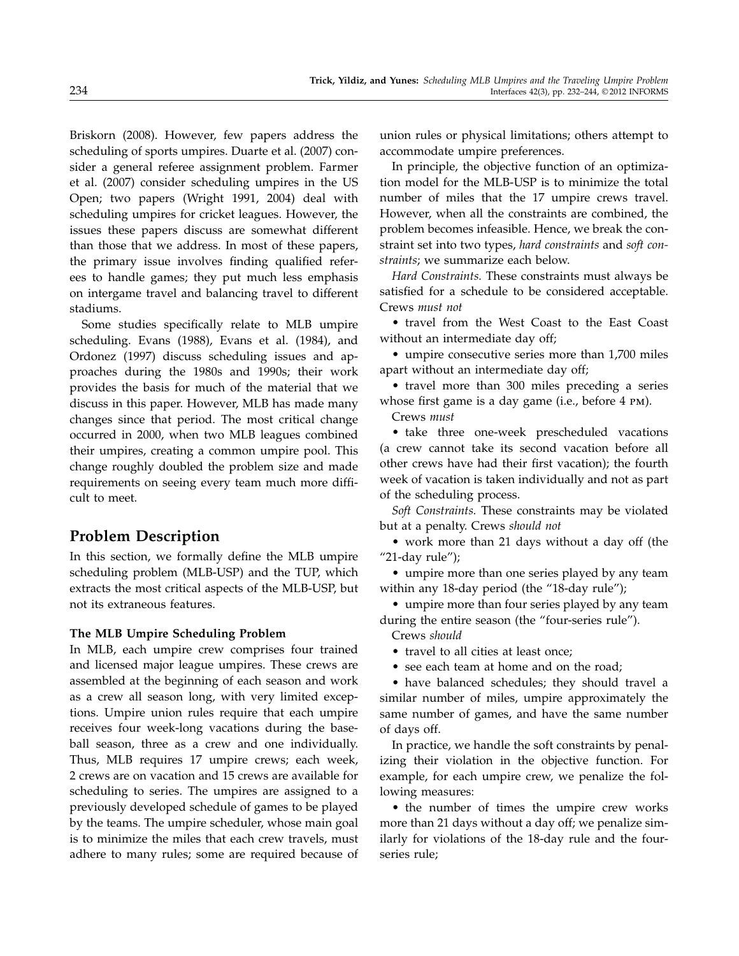Briskorn (2008). However, few papers address the scheduling of sports umpires. Duarte et al. (2007) consider a general referee assignment problem. Farmer et al. (2007) consider scheduling umpires in the US Open; two papers (Wright 1991, 2004) deal with scheduling umpires for cricket leagues. However, the issues these papers discuss are somewhat different than those that we address. In most of these papers, the primary issue involves finding qualified referees to handle games; they put much less emphasis on intergame travel and balancing travel to different stadiums.

Some studies specifically relate to MLB umpire scheduling. Evans (1988), Evans et al. (1984), and Ordonez (1997) discuss scheduling issues and approaches during the 1980s and 1990s; their work provides the basis for much of the material that we discuss in this paper. However, MLB has made many changes since that period. The most critical change occurred in 2000, when two MLB leagues combined their umpires, creating a common umpire pool. This change roughly doubled the problem size and made requirements on seeing every team much more difficult to meet.

# Problem Description

In this section, we formally define the MLB umpire scheduling problem (MLB-USP) and the TUP, which extracts the most critical aspects of the MLB-USP, but not its extraneous features.

### The MLB Umpire Scheduling Problem

In MLB, each umpire crew comprises four trained and licensed major league umpires. These crews are assembled at the beginning of each season and work as a crew all season long, with very limited exceptions. Umpire union rules require that each umpire receives four week-long vacations during the baseball season, three as a crew and one individually. Thus, MLB requires 17 umpire crews; each week, 2 crews are on vacation and 15 crews are available for scheduling to series. The umpires are assigned to a previously developed schedule of games to be played by the teams. The umpire scheduler, whose main goal is to minimize the miles that each crew travels, must adhere to many rules; some are required because of union rules or physical limitations; others attempt to accommodate umpire preferences.

In principle, the objective function of an optimization model for the MLB-USP is to minimize the total number of miles that the 17 umpire crews travel. However, when all the constraints are combined, the problem becomes infeasible. Hence, we break the constraint set into two types, hard constraints and soft constraints; we summarize each below.

Hard Constraints. These constraints must always be satisfied for a schedule to be considered acceptable. Crews must not

• travel from the West Coast to the East Coast without an intermediate day off;

• umpire consecutive series more than 1,700 miles apart without an intermediate day off;

• travel more than 300 miles preceding a series whose first game is a day game (i.e., before 4 PM).

Crews must

• take three one-week prescheduled vacations (a crew cannot take its second vacation before all other crews have had their first vacation); the fourth week of vacation is taken individually and not as part of the scheduling process.

Soft Constraints. These constraints may be violated but at a penalty. Crews should not

• work more than 21 days without a day off (the "21-day rule");

• umpire more than one series played by any team within any 18-day period (the "18-day rule");

• umpire more than four series played by any team during the entire season (the "four-series rule").

Crews should

• travel to all cities at least once;

• see each team at home and on the road:

• have balanced schedules; they should travel a similar number of miles, umpire approximately the same number of games, and have the same number of days off.

In practice, we handle the soft constraints by penalizing their violation in the objective function. For example, for each umpire crew, we penalize the following measures:

• the number of times the umpire crew works more than 21 days without a day off; we penalize similarly for violations of the 18-day rule and the fourseries rule;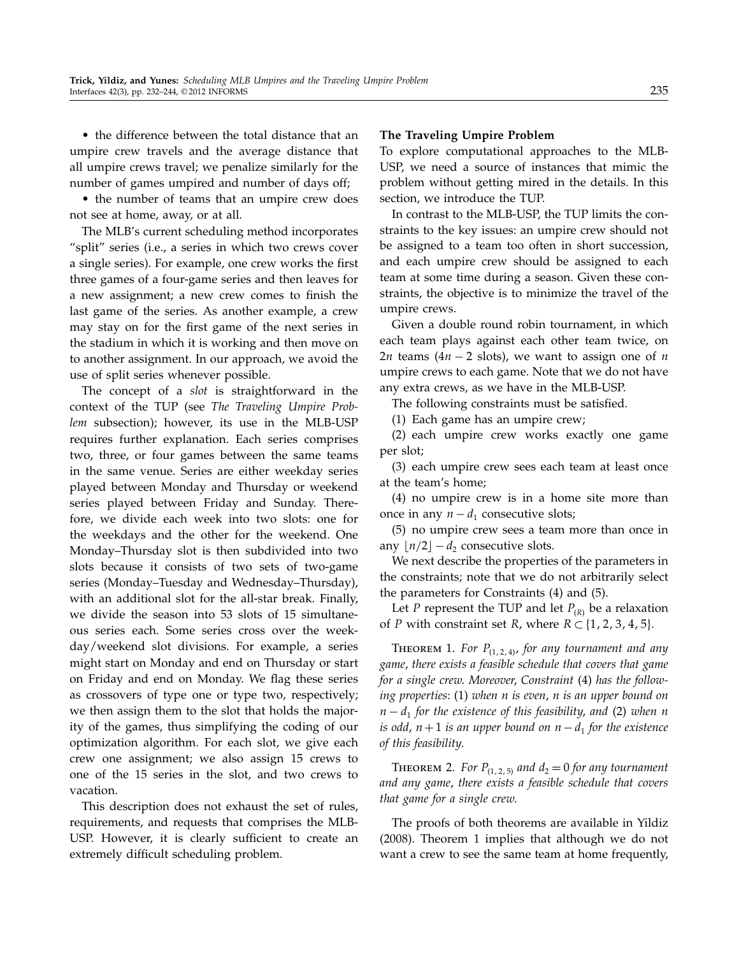• the difference between the total distance that an umpire crew travels and the average distance that all umpire crews travel; we penalize similarly for the number of games umpired and number of days off;

• the number of teams that an umpire crew does not see at home, away, or at all.

The MLB's current scheduling method incorporates "split" series (i.e., a series in which two crews cover a single series). For example, one crew works the first three games of a four-game series and then leaves for a new assignment; a new crew comes to finish the last game of the series. As another example, a crew may stay on for the first game of the next series in the stadium in which it is working and then move on to another assignment. In our approach, we avoid the use of split series whenever possible.

The concept of a *slot* is straightforward in the context of the TUP (see The Traveling Umpire Problem subsection); however, its use in the MLB-USP requires further explanation. Each series comprises two, three, or four games between the same teams in the same venue. Series are either weekday series played between Monday and Thursday or weekend series played between Friday and Sunday. Therefore, we divide each week into two slots: one for the weekdays and the other for the weekend. One Monday–Thursday slot is then subdivided into two slots because it consists of two sets of two-game series (Monday–Tuesday and Wednesday–Thursday), with an additional slot for the all-star break. Finally, we divide the season into 53 slots of 15 simultaneous series each. Some series cross over the weekday/weekend slot divisions. For example, a series might start on Monday and end on Thursday or start on Friday and end on Monday. We flag these series as crossovers of type one or type two, respectively; we then assign them to the slot that holds the majority of the games, thus simplifying the coding of our optimization algorithm. For each slot, we give each crew one assignment; we also assign 15 crews to one of the 15 series in the slot, and two crews to vacation.

This description does not exhaust the set of rules, requirements, and requests that comprises the MLB-USP. However, it is clearly sufficient to create an extremely difficult scheduling problem.

### The Traveling Umpire Problem

To explore computational approaches to the MLB-USP, we need a source of instances that mimic the problem without getting mired in the details. In this section, we introduce the TUP.

In contrast to the MLB-USP, the TUP limits the constraints to the key issues: an umpire crew should not be assigned to a team too often in short succession, and each umpire crew should be assigned to each team at some time during a season. Given these constraints, the objective is to minimize the travel of the umpire crews.

Given a double round robin tournament, in which each team plays against each other team twice, on 2*n* teams (4*n* − 2 slots), we want to assign one of *n* umpire crews to each game. Note that we do not have any extra crews, as we have in the MLB-USP.

The following constraints must be satisfied.

(1) Each game has an umpire crew;

(2) each umpire crew works exactly one game per slot;

(3) each umpire crew sees each team at least once at the team's home;

(4) no umpire crew is in a home site more than once in any  $n - d_1$  consecutive slots;

(5) no umpire crew sees a team more than once in any  $\lfloor n/2 \rfloor - d_2$  consecutive slots.

We next describe the properties of the parameters in the constraints; note that we do not arbitrarily select the parameters for Constraints (4) and (5).

Let P represent the TUP and let  $P_{(R)}$  be a relaxation of P with constraint set R, where  $R \subset \{1, 2, 3, 4, 5\}.$ 

**THEOREM 1.** For  $P_{(1,2,4)}$ , for any tournament and any game, there exists a feasible schedule that covers that game for a single crew. Moreover, Constraint (4) has the following properties: (1) when n is even, n is an upper bound on  $n - d_1$  for the existence of this feasibility, and (2) when  $n$ is odd,  $n+1$  is an upper bound on  $n-d_1$  for the existence of this feasibility.

**THEOREM 2.** For  $P_{(1,2,5)}$  and  $d_2 = 0$  for any tournament and any game, there exists a feasible schedule that covers that game for a single crew.

The proofs of both theorems are available in Yildiz (2008). Theorem 1 implies that although we do not want a crew to see the same team at home frequently,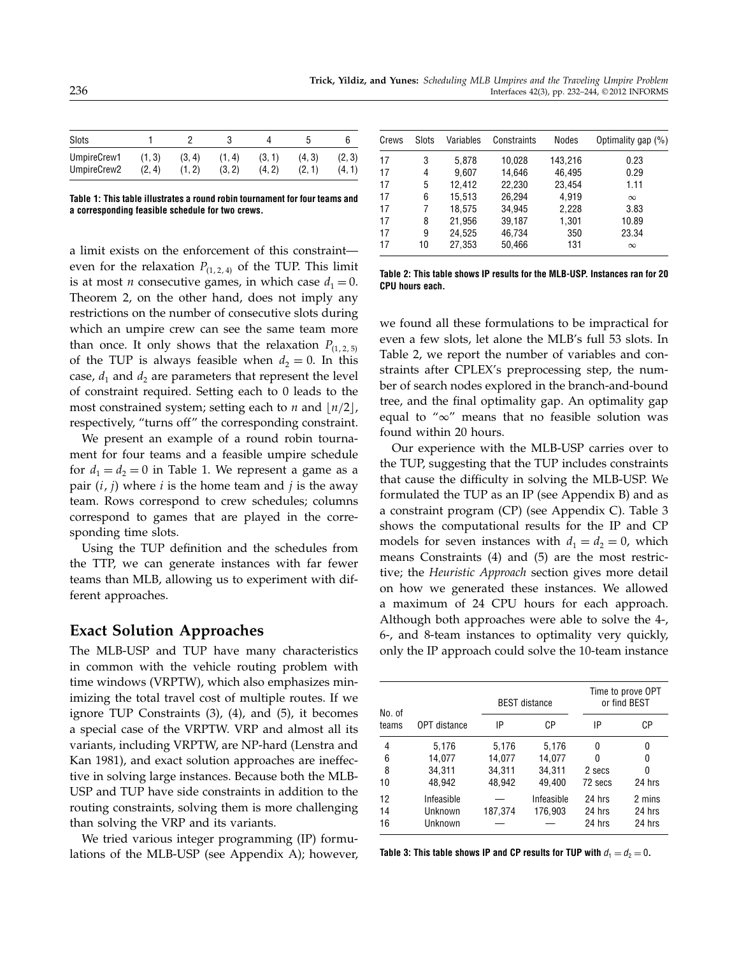| Slots       |        |        |        |        |        |        |
|-------------|--------|--------|--------|--------|--------|--------|
| UmpireCrew1 | (1, 3) | (3, 4) | (1, 4) | (3, 1) | (4, 3) | (2, 3) |
| UmpireCrew2 | (2, 4) | (1.2)  | (3, 2) | (4, 2) | (2, 1) | (4, 1) |

Table 1: This table illustrates a round robin tournament for four teams and a corresponding feasible schedule for two crews.

a limit exists on the enforcement of this constraint even for the relaxation  $P_{(1,2,4)}$  of the TUP. This limit is at most *n* consecutive games, in which case  $d_1 = 0$ . Theorem 2, on the other hand, does not imply any restrictions on the number of consecutive slots during which an umpire crew can see the same team more than once. It only shows that the relaxation  $P_{(1,2,5)}$ of the TUP is always feasible when  $d_2 = 0$ . In this case,  $d_1$  and  $d_2$  are parameters that represent the level of constraint required. Setting each to 0 leads to the most constrained system; setting each to *n* and  $\lfloor n/2 \rfloor$ , respectively, "turns off" the corresponding constraint.

We present an example of a round robin tournament for four teams and a feasible umpire schedule for  $d_1 = d_2 = 0$  in Table 1. We represent a game as a pair  $(i, j)$  where i is the home team and j is the away team. Rows correspond to crew schedules; columns correspond to games that are played in the corresponding time slots.

Using the TUP definition and the schedules from the TTP, we can generate instances with far fewer teams than MLB, allowing us to experiment with different approaches.

### Exact Solution Approaches

The MLB-USP and TUP have many characteristics in common with the vehicle routing problem with time windows (VRPTW), which also emphasizes minimizing the total travel cost of multiple routes. If we ignore TUP Constraints (3), (4), and (5), it becomes a special case of the VRPTW. VRP and almost all its variants, including VRPTW, are NP-hard (Lenstra and Kan 1981), and exact solution approaches are ineffective in solving large instances. Because both the MLB-USP and TUP have side constraints in addition to the routing constraints, solving them is more challenging than solving the VRP and its variants.

We tried various integer programming (IP) formulations of the MLB-USP (see Appendix A); however,

| Crews | Slots | Variables | Constraints | Nodes   | Optimality gap (%) |
|-------|-------|-----------|-------------|---------|--------------------|
| 17    | 3     | 5.878     | 10,028      | 143,216 | 0.23               |
| 17    | 4     | 9.607     | 14.646      | 46.495  | 0.29               |
| 17    | 5     | 12,412    | 22,230      | 23,454  | 1.11               |
| 17    | 6     | 15,513    | 26,294      | 4.919   | $\infty$           |
| 17    | 7     | 18,575    | 34,945      | 2,228   | 3.83               |
| 17    | 8     | 21.956    | 39,187      | 1,301   | 10.89              |
| 17    | 9     | 24,525    | 46,734      | 350     | 23.34              |
| 17    | 10    | 27,353    | 50,466      | 131     | $\infty$           |

Table 2: This table shows IP results for the MLB-USP. Instances ran for 20 CPU hours each.

we found all these formulations to be impractical for even a few slots, let alone the MLB's full 53 slots. In Table 2, we report the number of variables and constraints after CPLEX's preprocessing step, the number of search nodes explored in the branch-and-bound tree, and the final optimality gap. An optimality gap equal to " $\infty$ " means that no feasible solution was found within 20 hours.

Our experience with the MLB-USP carries over to the TUP, suggesting that the TUP includes constraints that cause the difficulty in solving the MLB-USP. We formulated the TUP as an IP (see Appendix B) and as a constraint program (CP) (see Appendix C). Table 3 shows the computational results for the IP and CP models for seven instances with  $d_1 = d_2 = 0$ , which means Constraints (4) and (5) are the most restrictive; the Heuristic Approach section gives more detail on how we generated these instances. We allowed a maximum of 24 CPU hours for each approach. Although both approaches were able to solve the 4-, 6-, and 8-team instances to optimality very quickly, only the IP approach could solve the 10-team instance

|                 |              |         | <b>BEST</b> distance |         | Time to prove OPT<br>or find BEST |
|-----------------|--------------|---------|----------------------|---------|-----------------------------------|
| No. of<br>teams | OPT distance | IP      | CР                   | IP      | CР                                |
| 4               | 5.176        | 5,176   | 5.176                | 0       | 0                                 |
| 6               | 14.077       | 14.077  | 14,077               | 0       | 0                                 |
| 8               | 34.311       | 34.311  | 34.311               | 2 secs  | 0                                 |
| 10              | 48.942       | 48.942  | 49.400               | 72 secs | 24 hrs                            |
| 12              | Infeasible   |         | Infeasible           | 24 hrs  | 2 mins                            |
| 14              | Unknown      | 187,374 | 176,903              | 24 hrs  | 24 hrs                            |
| 16              | Unknown      |         |                      | 24 hrs  | 24 hrs                            |

Table 3: This table shows IP and CP results for TUP with  $d_1 = d_2 = 0$ .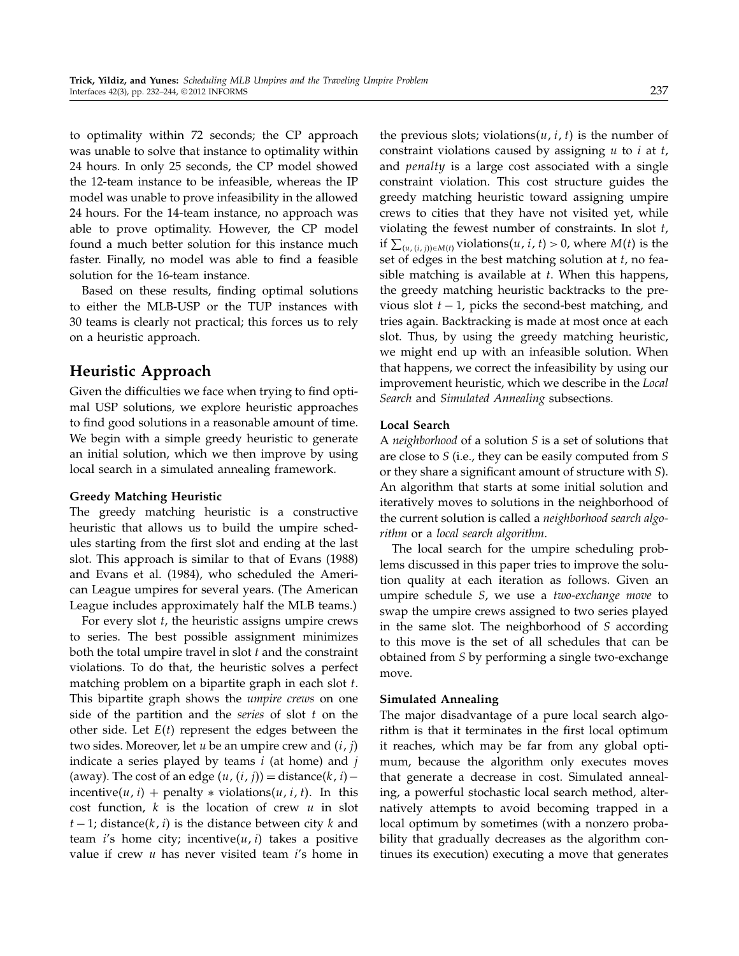to optimality within 72 seconds; the CP approach was unable to solve that instance to optimality within 24 hours. In only 25 seconds, the CP model showed the 12-team instance to be infeasible, whereas the IP model was unable to prove infeasibility in the allowed 24 hours. For the 14-team instance, no approach was able to prove optimality. However, the CP model found a much better solution for this instance much faster. Finally, no model was able to find a feasible solution for the 16-team instance.

Based on these results, finding optimal solutions to either the MLB-USP or the TUP instances with 30 teams is clearly not practical; this forces us to rely on a heuristic approach.

# Heuristic Approach

Given the difficulties we face when trying to find optimal USP solutions, we explore heuristic approaches to find good solutions in a reasonable amount of time. We begin with a simple greedy heuristic to generate an initial solution, which we then improve by using local search in a simulated annealing framework.

### Greedy Matching Heuristic

The greedy matching heuristic is a constructive heuristic that allows us to build the umpire schedules starting from the first slot and ending at the last slot. This approach is similar to that of Evans (1988) and Evans et al. (1984), who scheduled the American League umpires for several years. (The American League includes approximately half the MLB teams.)

For every slot  $t$ , the heuristic assigns umpire crews to series. The best possible assignment minimizes both the total umpire travel in slot  $t$  and the constraint violations. To do that, the heuristic solves a perfect matching problem on a bipartite graph in each slot t. This bipartite graph shows the *umpire crews* on one side of the partition and the series of slot  $t$  on the other side. Let  $E(t)$  represent the edges between the two sides. Moreover, let *u* be an umpire crew and  $(i, j)$ indicate a series played by teams  $i$  (at home) and  $j$ (away). The cost of an edge  $(u, (i, j)) =$  distance $(k, i)$  – incentive $(u, i)$  + penalty  $*$  violations $(u, i, t)$ . In this. cost function,  $k$  is the location of crew  $u$  in slot  $t-1$ ; distance $(k, i)$  is the distance between city k and team *i's* home city; incentive $(u, i)$  takes a positive value if crew  $u$  has never visited team  $i$ 's home in

the previous slots; violations $(u, i, t)$  is the number of constraint violations caused by assigning  $u$  to  $i$  at  $t$ , and penalty is a large cost associated with a single constraint violation. This cost structure guides the greedy matching heuristic toward assigning umpire crews to cities that they have not visited yet, while violating the fewest number of constraints. In slot t, if  $\sum_{(u, (i,j)) \in M(t)}$  violations $(u, i, t) > 0$ , where  $M(t)$  is the set of edges in the best matching solution at  $t$ , no feasible matching is available at  $t$ . When this happens, the greedy matching heuristic backtracks to the previous slot  $t - 1$ , picks the second-best matching, and tries again. Backtracking is made at most once at each slot. Thus, by using the greedy matching heuristic, we might end up with an infeasible solution. When that happens, we correct the infeasibility by using our improvement heuristic, which we describe in the Local Search and Simulated Annealing subsections.

### Local Search

A neighborhood of a solution S is a set of solutions that are close to S (i.e., they can be easily computed from S or they share a significant amount of structure with S). An algorithm that starts at some initial solution and iteratively moves to solutions in the neighborhood of the current solution is called a neighborhood search algorithm or a local search algorithm.

The local search for the umpire scheduling problems discussed in this paper tries to improve the solution quality at each iteration as follows. Given an umpire schedule S, we use a two-exchange move to swap the umpire crews assigned to two series played in the same slot. The neighborhood of S according to this move is the set of all schedules that can be obtained from S by performing a single two-exchange move.

### Simulated Annealing

The major disadvantage of a pure local search algorithm is that it terminates in the first local optimum it reaches, which may be far from any global optimum, because the algorithm only executes moves that generate a decrease in cost. Simulated annealing, a powerful stochastic local search method, alternatively attempts to avoid becoming trapped in a local optimum by sometimes (with a nonzero probability that gradually decreases as the algorithm continues its execution) executing a move that generates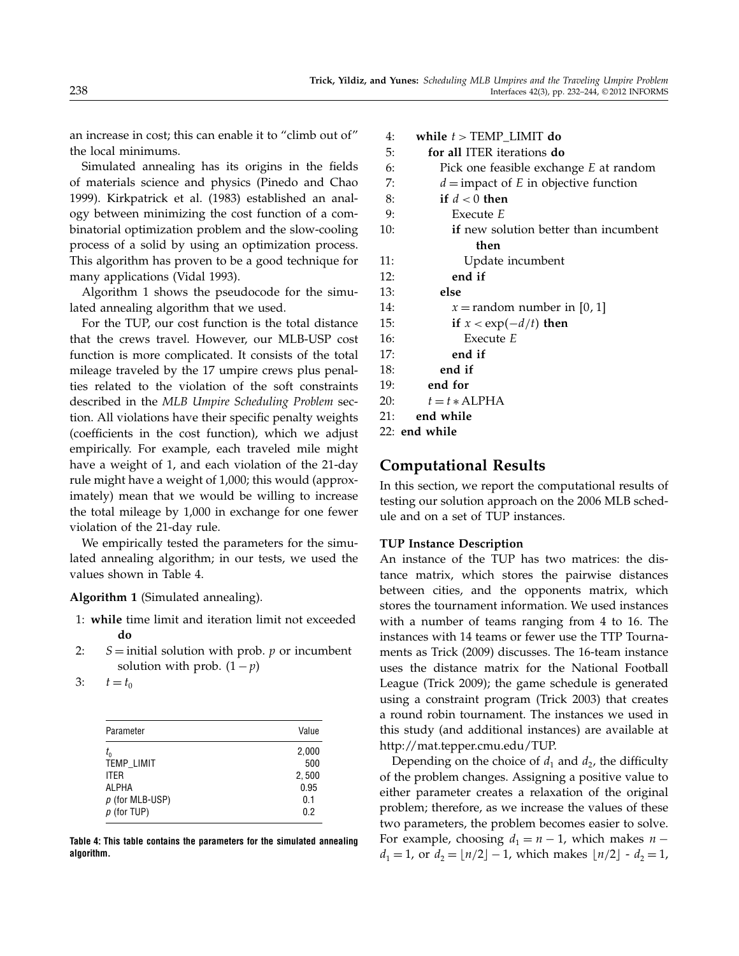an increase in cost; this can enable it to "climb out of" the local minimums.

Simulated annealing has its origins in the fields of materials science and physics (Pinedo and Chao 1999). Kirkpatrick et al. (1983) established an analogy between minimizing the cost function of a combinatorial optimization problem and the slow-cooling process of a solid by using an optimization process. This algorithm has proven to be a good technique for many applications (Vidal 1993).

Algorithm 1 shows the pseudocode for the simulated annealing algorithm that we used.

For the TUP, our cost function is the total distance that the crews travel. However, our MLB-USP cost function is more complicated. It consists of the total mileage traveled by the 17 umpire crews plus penalties related to the violation of the soft constraints described in the MLB Umpire Scheduling Problem section. All violations have their specific penalty weights (coefficients in the cost function), which we adjust empirically. For example, each traveled mile might have a weight of 1, and each violation of the 21-day rule might have a weight of 1,000; this would (approximately) mean that we would be willing to increase the total mileage by 1,000 in exchange for one fewer violation of the 21-day rule.

We empirically tested the parameters for the simulated annealing algorithm; in our tests, we used the values shown in Table 4.

Algorithm 1 (Simulated annealing).

- 1: while time limit and iteration limit not exceeded do
- 2:  $S =$  initial solution with prob. p or incumbent solution with prob.  $(1 - p)$

$$
3: \qquad t = t_0
$$

| Parameter         | Value |
|-------------------|-------|
| $t_{0}$           | 2,000 |
| <b>TEMP LIMIT</b> | 500   |
| <b>ITER</b>       | 2,500 |
| ALPHA             | 0.95  |
| p (for MLB-USP)   | 0.1   |
| p (for TUP)       | 0.2   |

Table 4: This table contains the parameters for the simulated annealing algorithm.

4: while  $t > \text{TEMP\_LIMIT}$  do

| 5:  | for all ITER iterations do                   |
|-----|----------------------------------------------|
| 6:  | Pick one feasible exchange $E$ at random     |
| 7:  | $d =$ impact of E in objective function      |
| 8:  | if $d < 0$ then                              |
| 9:  | Execute E                                    |
| 10: | <b>if</b> new solution better than incumbent |
|     | then                                         |
| 11: | Update incumbent                             |
| 12: | end if                                       |
| 13: | else                                         |
| 14: | $x =$ random number in [0, 1]                |
| 15: | if $x < \exp(-d/t)$ then                     |
| 16: | Execute E                                    |
| 17: | end if                                       |
| 18: | end if                                       |
| 19: | end for                                      |
| 20: | $t = t * ALPHA$                              |
| 21: | end while                                    |
|     | 22: end while                                |

## Computational Results

In this section, we report the computational results of testing our solution approach on the 2006 MLB schedule and on a set of TUP instances.

### TUP Instance Description

An instance of the TUP has two matrices: the distance matrix, which stores the pairwise distances between cities, and the opponents matrix, which stores the tournament information. We used instances with a number of teams ranging from 4 to 16. The instances with 14 teams or fewer use the TTP Tournaments as Trick (2009) discusses. The 16-team instance uses the distance matrix for the National Football League (Trick 2009); the game schedule is generated using a constraint program (Trick 2003) that creates a round robin tournament. The instances we used in this study (and additional instances) are available at http://mat.tepper.cmu.edu/TUP.

Depending on the choice of  $d_1$  and  $d_2$ , the difficulty of the problem changes. Assigning a positive value to either parameter creates a relaxation of the original problem; therefore, as we increase the values of these two parameters, the problem becomes easier to solve. For example, choosing  $d_1 = n - 1$ , which makes  $n$  $d_1 = 1$ , or  $d_2 = \lfloor n/2 \rfloor - 1$ , which makes  $\lfloor n/2 \rfloor - d_2 = 1$ ,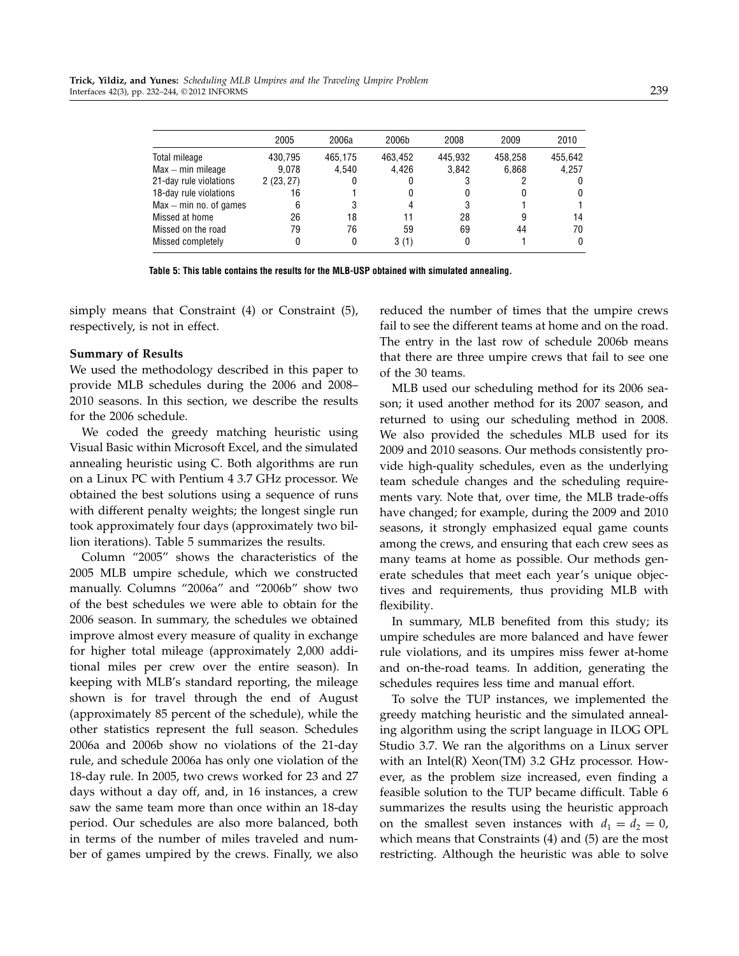| 2005      | 2006a   | 2006b   | 2008    | 2009    | 2010    |
|-----------|---------|---------|---------|---------|---------|
| 430,795   | 465.175 | 463.452 | 445.932 | 458.258 | 455.642 |
| 9.078     | 4.540   | 4.426   | 3.842   | 6.868   | 4.257   |
| 2(23, 27) | 0       |         | 3       |         |         |
| 16        |         |         |         |         |         |
| 6         |         |         | 3       |         |         |
| 26        | 18      |         | 28      | 9       | 14      |
| 79        | 76      | 59      | 69      | 44      | 70      |
|           | 0       | 3(1)    |         |         |         |
|           |         |         |         |         |         |

Table 5: This table contains the results for the MLB-USP obtained with simulated annealing.

simply means that Constraint (4) or Constraint (5), respectively, is not in effect.

### Summary of Results

We used the methodology described in this paper to provide MLB schedules during the 2006 and 2008– 2010 seasons. In this section, we describe the results for the 2006 schedule.

We coded the greedy matching heuristic using Visual Basic within Microsoft Excel, and the simulated annealing heuristic using C. Both algorithms are run on a Linux PC with Pentium 4 3.7 GHz processor. We obtained the best solutions using a sequence of runs with different penalty weights; the longest single run took approximately four days (approximately two billion iterations). Table 5 summarizes the results.

Column "2005" shows the characteristics of the 2005 MLB umpire schedule, which we constructed manually. Columns "2006a" and "2006b" show two of the best schedules we were able to obtain for the 2006 season. In summary, the schedules we obtained improve almost every measure of quality in exchange for higher total mileage (approximately 2,000 additional miles per crew over the entire season). In keeping with MLB's standard reporting, the mileage shown is for travel through the end of August (approximately 85 percent of the schedule), while the other statistics represent the full season. Schedules 2006a and 2006b show no violations of the 21-day rule, and schedule 2006a has only one violation of the 18-day rule. In 2005, two crews worked for 23 and 27 days without a day off, and, in 16 instances, a crew saw the same team more than once within an 18-day period. Our schedules are also more balanced, both in terms of the number of miles traveled and number of games umpired by the crews. Finally, we also reduced the number of times that the umpire crews fail to see the different teams at home and on the road. The entry in the last row of schedule 2006b means that there are three umpire crews that fail to see one of the 30 teams.

MLB used our scheduling method for its 2006 season; it used another method for its 2007 season, and returned to using our scheduling method in 2008. We also provided the schedules MLB used for its 2009 and 2010 seasons. Our methods consistently provide high-quality schedules, even as the underlying team schedule changes and the scheduling requirements vary. Note that, over time, the MLB trade-offs have changed; for example, during the 2009 and 2010 seasons, it strongly emphasized equal game counts among the crews, and ensuring that each crew sees as many teams at home as possible. Our methods generate schedules that meet each year's unique objectives and requirements, thus providing MLB with flexibility.

In summary, MLB benefited from this study; its umpire schedules are more balanced and have fewer rule violations, and its umpires miss fewer at-home and on-the-road teams. In addition, generating the schedules requires less time and manual effort.

To solve the TUP instances, we implemented the greedy matching heuristic and the simulated annealing algorithm using the script language in ILOG OPL Studio 3.7. We ran the algorithms on a Linux server with an Intel(R) Xeon(TM) 3.2 GHz processor. However, as the problem size increased, even finding a feasible solution to the TUP became difficult. Table 6 summarizes the results using the heuristic approach on the smallest seven instances with  $d_1 = d_2 = 0$ , which means that Constraints (4) and (5) are the most restricting. Although the heuristic was able to solve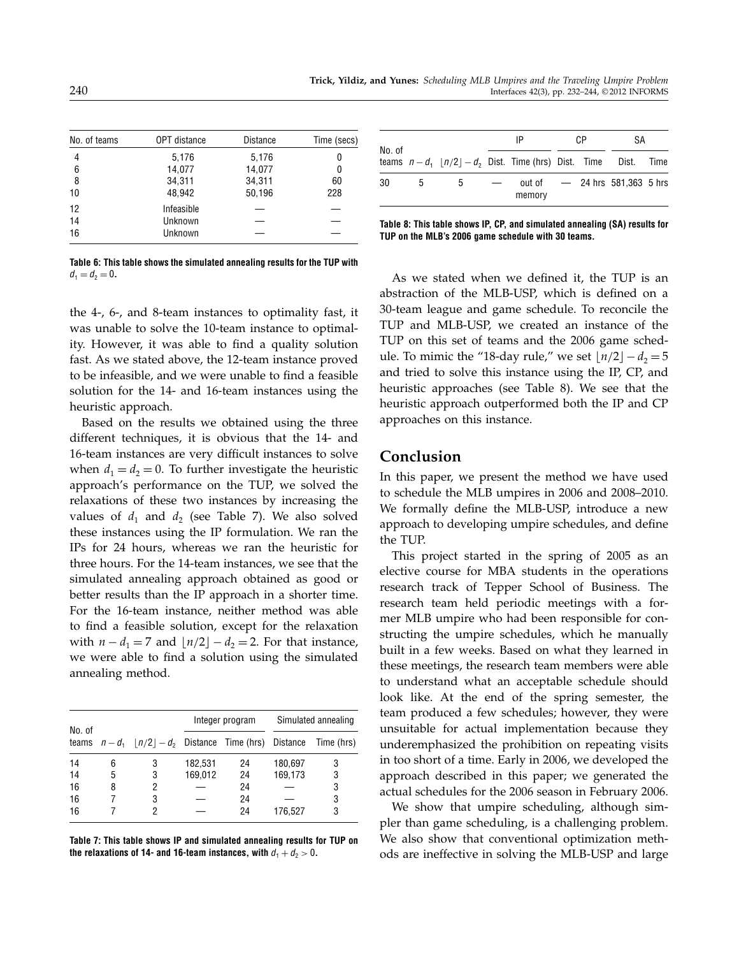| No. of teams | OPT distance | <b>Distance</b> | Time (secs) |
|--------------|--------------|-----------------|-------------|
| 4            | 5,176        | 5,176           | 0           |
| 6            | 14,077       | 14,077          | 0           |
| 8            | 34,311       | 34,311          | 60          |
| 10           | 48,942       | 50,196          | 228         |
| 12           | Infeasible   |                 |             |
| 14           | Unknown      |                 |             |
| 16           | Unknown      |                 |             |
|              |              |                 |             |

Table 6: This table shows the simulated annealing results for the TUP with  $d_1 = d_2 = 0.$ 

the 4-, 6-, and 8-team instances to optimality fast, it was unable to solve the 10-team instance to optimality. However, it was able to find a quality solution fast. As we stated above, the 12-team instance proved to be infeasible, and we were unable to find a feasible solution for the 14- and 16-team instances using the heuristic approach.

Based on the results we obtained using the three different techniques, it is obvious that the 14- and 16-team instances are very difficult instances to solve when  $d_1 = d_2 = 0$ . To further investigate the heuristic approach's performance on the TUP, we solved the relaxations of these two instances by increasing the values of  $d_1$  and  $d_2$  (see Table 7). We also solved these instances using the IP formulation. We ran the IPs for 24 hours, whereas we ran the heuristic for three hours. For the 14-team instances, we see that the simulated annealing approach obtained as good or better results than the IP approach in a shorter time. For the 16-team instance, neither method was able to find a feasible solution, except for the relaxation with  $n - d_1 = 7$  and  $\lfloor n/2 \rfloor - d_2 = 2$ . For that instance, we were able to find a solution using the simulated annealing method.

| No. of |   |                                                             |         | Integer program | Simulated annealing |            |  |
|--------|---|-------------------------------------------------------------|---------|-----------------|---------------------|------------|--|
|        |   | teams $n-d_1$   $n/2$   $-d_2$ Distance Time (hrs) Distance |         |                 |                     | Time (hrs) |  |
| 14     | 6 | 3                                                           | 182,531 | 24              | 180,697             | 3          |  |
| 14     | 5 | 3                                                           | 169,012 | 24              | 169,173             | 3          |  |
| 16     | 8 | 2                                                           |         | 24              |                     | 3          |  |
| 16     |   | 3                                                           |         | 24              |                     | 3          |  |
| 16     |   | 2                                                           |         | 24              | 176,527             | 3          |  |

Table 7: This table shows IP and simulated annealing results for TUP on the relaxations of 14- and 16-team instances, with  $d_1 + d_2 > 0$ .

| No. of |    | ΙP                                                                        |  | C.P    |  | SA |                                  |  |
|--------|----|---------------------------------------------------------------------------|--|--------|--|----|----------------------------------|--|
|        |    | teams $n-d_1$ $\mid n/2 \mid -d_2$ Dist. Time (hrs) Dist. Time Dist. Time |  |        |  |    |                                  |  |
| 30     | .h | 5                                                                         |  | memory |  |    | out of $-24$ hrs $581,363$ 5 hrs |  |

Table 8: This table shows IP, CP, and simulated annealing (SA) results for TUP on the MLB's 2006 game schedule with 30 teams.

As we stated when we defined it, the TUP is an abstraction of the MLB-USP, which is defined on a 30-team league and game schedule. To reconcile the TUP and MLB-USP, we created an instance of the TUP on this set of teams and the 2006 game schedule. To mimic the "18-day rule," we set  $\lfloor n/2 \rfloor - d_2 = 5$ and tried to solve this instance using the IP, CP, and heuristic approaches (see Table 8). We see that the heuristic approach outperformed both the IP and CP approaches on this instance.

### Conclusion

In this paper, we present the method we have used to schedule the MLB umpires in 2006 and 2008–2010. We formally define the MLB-USP, introduce a new approach to developing umpire schedules, and define the TUP.

This project started in the spring of 2005 as an elective course for MBA students in the operations research track of Tepper School of Business. The research team held periodic meetings with a former MLB umpire who had been responsible for constructing the umpire schedules, which he manually built in a few weeks. Based on what they learned in these meetings, the research team members were able to understand what an acceptable schedule should look like. At the end of the spring semester, the team produced a few schedules; however, they were unsuitable for actual implementation because they underemphasized the prohibition on repeating visits in too short of a time. Early in 2006, we developed the approach described in this paper; we generated the actual schedules for the 2006 season in February 2006.

We show that umpire scheduling, although simpler than game scheduling, is a challenging problem. We also show that conventional optimization methods are ineffective in solving the MLB-USP and large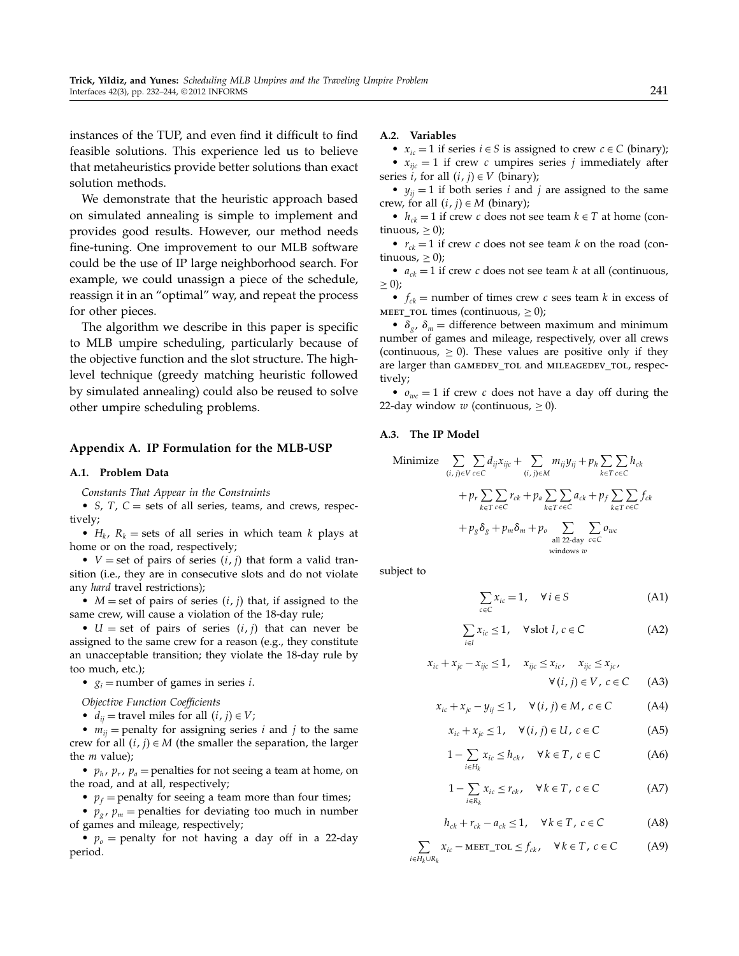instances of the TUP, and even find it difficult to find feasible solutions. This experience led us to believe that metaheuristics provide better solutions than exact solution methods.

We demonstrate that the heuristic approach based on simulated annealing is simple to implement and provides good results. However, our method needs fine-tuning. One improvement to our MLB software could be the use of IP large neighborhood search. For example, we could unassign a piece of the schedule, reassign it in an "optimal" way, and repeat the process for other pieces.

The algorithm we describe in this paper is specific to MLB umpire scheduling, particularly because of the objective function and the slot structure. The highlevel technique (greedy matching heuristic followed by simulated annealing) could also be reused to solve other umpire scheduling problems.

#### Appendix A. IP Formulation for the MLB-USP

### A.1. Problem Data

Constants That Appear in the Constraints

• S, T,  $C =$  sets of all series, teams, and crews, respectively;

•  $H_k$ ,  $R_k$  = sets of all series in which team k plays at home or on the road, respectively;

•  $V = set$  of pairs of series  $(i, j)$  that form a valid transition (i.e., they are in consecutive slots and do not violate any hard travel restrictions);

•  $M = set$  of pairs of series  $(i, j)$  that, if assigned to the same crew, will cause a violation of the 18-day rule;

•  $U = set$  of pairs of series  $(i, j)$  that can never be assigned to the same crew for a reason (e.g., they constitute an unacceptable transition; they violate the 18-day rule by too much, etc.);

•  $g_i$  = number of games in series *i*.

Objective Function Coefficients

•  $d_{ii}$  = travel miles for all  $(i, j) \in V$ ;

•  $m_{ij}$  = penalty for assigning series *i* and *j* to the same crew for all  $(i, j) \in M$  (the smaller the separation, the larger the  $m$  value);

•  $p_h$ ,  $p_r$ ,  $p_a$  = penalties for not seeing a team at home, on the road, and at all, respectively;

•  $p_f$  = penalty for seeing a team more than four times;

•  $p_g$ ,  $p_m$  = penalties for deviating too much in number of games and mileage, respectively;

•  $p_0$  = penalty for not having a day off in a 22-day period.

#### A.2. Variables

•  $x_{ic} = 1$  if series  $i \in S$  is assigned to crew  $c \in C$  (binary); •  $x_{ijc} = 1$  if crew c umpires series j immediately after series *i*, for all  $(i, j) \in V$  (binary);

•  $y_{ii} = 1$  if both series *i* and *j* are assigned to the same crew, for all  $(i, j) \in M$  (binary);

•  $h_{ck} = 1$  if crew c does not see team  $k \in T$  at home (continuous,  $\geq$  0);

•  $r_{ck} = 1$  if crew c does not see team k on the road (continuous,  $\geq$  0);

•  $a_{ck} = 1$  if crew c does not see team k at all (continuous,  $\geq$  0);

•  $f_{ck}$  = number of times crew c sees team k in excess of MEET\_TOL times (continuous,  $\geq 0$ );

•  $\delta_{g}$ ,  $\delta_{m}$  = difference between maximum and minimum number of games and mileage, respectively, over all crews (continuous,  $\geq$  0). These values are positive only if they are larger than GAMEDEV\_TOL and MILEAGEDEV\_TOL, respectively;

•  $o_{wc} = 1$  if crew c does not have a day off during the 22-day window w (continuous,  $\geq$  0).

#### A.3. The IP Model

Minimize 
$$
\sum_{(i,j)\in V} \sum_{c\in C} d_{ij}x_{ijc} + \sum_{(i,j)\in M} m_{ij}y_{ij} + p_h \sum_{k\in T} \sum_{c\in C} h_{ck}
$$

$$
+ p_r \sum_{k\in T} \sum_{c\in C} r_{ck} + p_a \sum_{k\in T} \sum_{c\in C} a_{ck} + p_f \sum_{k\in T} \sum_{c\in C} f_{ck}
$$

$$
+ p_g \delta_g + p_m \delta_m + p_o \sum_{\substack{\text{all } 22\text{-day } c\in C}} \sum_{c\in C} o_{wc}
$$
  
windows w

subject to

$$
\sum_{c \in C} x_{ic} = 1, \quad \forall i \in S \tag{A1}
$$

$$
\sum_{i \in I} x_{ic} \le 1, \quad \forall \,\text{slot } l, c \in C \tag{A2}
$$

$$
x_{ic} + x_{jc} - x_{ijc} \le 1, \quad x_{ijc} \le x_{ic}, \quad x_{ijc} \le x_{jc},
$$
  

$$
\forall (i, j) \in V, c \in C \quad (A3)
$$

$$
x_{ic} + x_{jc} - y_{ij} \le 1, \quad \forall (i, j) \in M, c \in C \tag{A4}
$$

$$
x_{ic} + x_{jc} \le 1, \quad \forall (i, j) \in U, c \in C \tag{A5}
$$

$$
1 - \sum_{i \in H_k} x_{ic} \le h_{ck}, \quad \forall k \in T, c \in C \tag{A6}
$$

$$
1 - \sum_{i \in R_k} x_{ic} \le r_{ck}, \quad \forall k \in T, c \in C \tag{A7}
$$

$$
h_{ck} + r_{ck} - a_{ck} \le 1, \quad \forall k \in T, c \in C
$$
 (A8)

 $\sum$ i∈ $H_k \cup R_k$  $x_{ic}$  – **MEET\_TOL**  $\leq f_{ck}$ ,  $\forall k \in T$ ,  $c \in C$  (A9)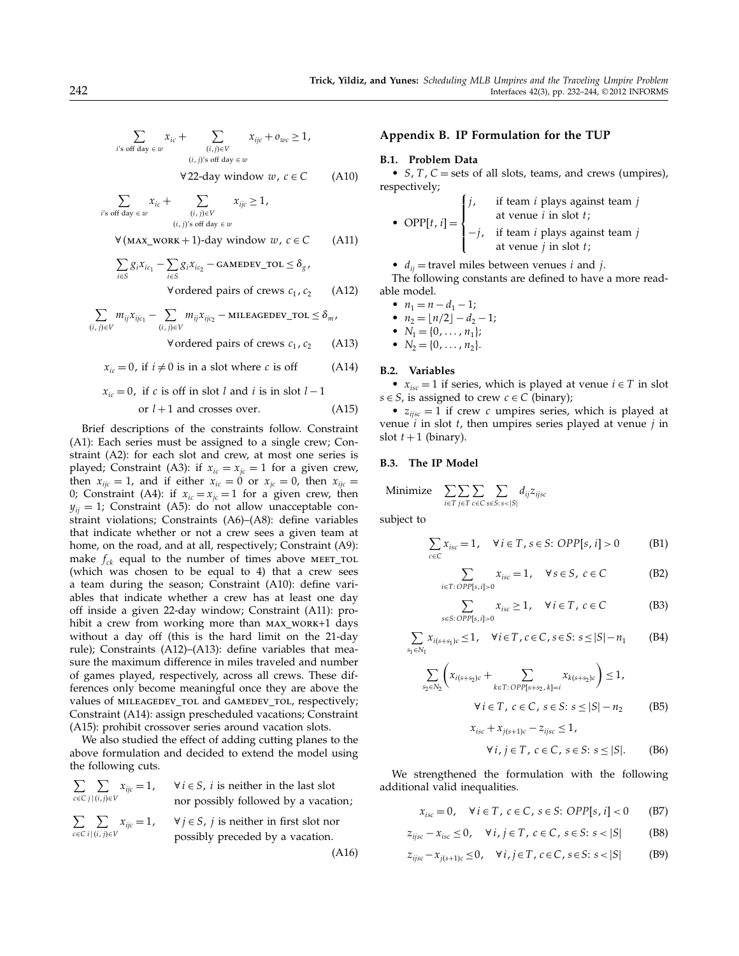$$
\sum_{i' \text{ s off day } \in w} x_{ic} + \sum_{\substack{(i,j) \in V \\ (i,j')' \text{ s off day } \in w}} x_{ijc} + o_{wc} \ge 1,
$$

$$
\forall 22\text{-day window } w, c \in C \qquad (A10)
$$

$$
\sum_{i' \text{s off day } \in w} x_{ic} + \sum_{\substack{(i,j) \in V \\ (i,j')' \text{s off day } \in w}} x_{ijc} \ge 1,
$$

$$
\forall (MAX\_WORK + 1)-day window w, c \in C
$$
 (A11)

$$
\sum_{i \in S} g_i x_{ic_1} - \sum_{i \in S} g_i x_{ic_2} - \text{GAMEDEV\_TOL} \le \delta_g,
$$
\n
$$
\text{Y and and using a figure 2, 2, 3}
$$

$$
\forall \text{ordered pairs of crews } c_1, c_2 \qquad (A12)
$$

$$
\sum_{(i,j)\in V} m_{ij} x_{ijc_1} - \sum_{(i,j)\in V} m_{ij} x_{ijc_2} - \text{MILEAGEDEV\_TOL} \le \delta_m,
$$
  
Y ordered pairs of crews  $c_1, c_2$  (A13)

 $x_{ic} = 0$ , if  $i \neq 0$  is in a slot where c is off (A14)

$$
x_{ic} = 0
$$
, if *c* is off in slot *l* and *i* is in slot *l* – 1

or 
$$
l+1
$$
 and crosses over. (A15)

Brief descriptions of the constraints follow. Constraint (A1): Each series must be assigned to a single crew; Constraint (A2): for each slot and crew, at most one series is played; Constraint (A3): if  $x_{ic} = x_{jc} = 1$  for a given crew, then  $x_{ijc} = 1$ , and if either  $x_{ic} = 0$  or  $x_{jc} = 0$ , then  $x_{ijc} = 1$ 0; Constraint (A4): if  $x_{ic} = x_{jc} = 1$  for a given crew, then  $y_{ij} = 1$ ; Constraint (A5): do not allow unacceptable constraint violations; Constraints (A6)–(A8): define variables that indicate whether or not a crew sees a given team at home, on the road, and at all, respectively; Constraint (A9): make  $f_{ck}$  equal to the number of times above MEET\_TOL (which was chosen to be equal to 4) that a crew sees a team during the season; Constraint (A10): define variables that indicate whether a crew has at least one day off inside a given 22-day window; Constraint (A11): prohibit a crew from working more than MAX\_WORK+1 days without a day off (this is the hard limit on the 21-day rule); Constraints (A12)–(A13): define variables that measure the maximum difference in miles traveled and number of games played, respectively, across all crews. These differences only become meaningful once they are above the values of MILEAGEDEV\_TOL and GAMEDEV\_TOL, respectively; Constraint (A14): assign prescheduled vacations; Constraint (A15): prohibit crossover series around vacation slots.

We also studied the effect of adding cutting planes to the above formulation and decided to extend the model using the following cuts.

$$
\sum_{c \in C} \sum_{j | (i,j) \in V} x_{ijc} = 1, \quad \forall i \in S, i \text{ is neither in the last slot} \text{nor possibly followed by a vacation;}
$$
\n
$$
\sum_{c \in C} \sum_{i | (i,j) \in V} x_{ijc} = 1, \quad \forall j \in S, j \text{ is neither in first slot nor} \text{possibly preceded by a vacation.}
$$

(A16)

#### Appendix B. IP Formulation for the TUP

#### B.1. Problem Data

•  $S, T, C = sets$  of all slots, teams, and crews (umpires), respectively;

• 
$$
\text{OPP}[t, i] = \begin{cases} j, & \text{if team } i \text{ plays against team } j \\ -j, & \text{if team } i \text{ plays against team } j \\ \text{at venue } j \text{ in slot } t \text{;} \end{cases}
$$

•  $d_{ij}$  = travel miles between venues *i* and *j*.

The following constants are defined to have a more readable model.

- $n_1 = n d_1 1;$ •  $n_2 = \lfloor n/2 \rfloor - d_2 - 1;$
- $N_1 = \{0, \ldots, n_1\};$
- $N_2 = \{0, \ldots, n_2\}.$

#### B.2. Variables

•  $x_{isc} = 1$  if series, which is played at venue  $i \in T$  in slot  $s ∈ S$ , is assigned to crew  $c ∈ C$  (binary);

•  $z_{iisc} = 1$  if crew c umpires series, which is played at venue  $i$  in slot  $t$ , then umpires series played at venue  $j$  in slot  $t + 1$  (binary).

#### B.3. The IP Model

$$
\text{Minimize} \quad \sum_{i \in T} \sum_{j \in T} \sum_{c \in C} \sum_{s \in S: s < |S|} d_{ij} z_{ijsc}
$$

subject to

$$
\sum_{c \in C} x_{isc} = 1, \quad \forall i \in T, s \in S: OPP[s, i] > 0
$$
 (B1)

$$
\sum_{i \in T: OPP[s,i]>0} x_{isc} = 1, \quad \forall s \in S, \ c \in C
$$
 (B2)

$$
\sum_{s \in S: OPP[s,i] > 0} x_{isc} \ge 1, \quad \forall \, i \in T, \, c \in C \tag{B3}
$$

$$
\sum_{s_1 \in N_1} x_{i(s+s_1)c} \le 1, \quad \forall i \in T, c \in C, s \in S: s \le |S| - n_1 \quad (B4)
$$

$$
\sum_{s_2 \in N_2} \left( x_{i(s+s_2)c} + \sum_{k \in T : OPP[s+s_2, k] = i} x_{k(s+s_2)c} \right) \le 1,
$$
  
 
$$
\forall i \in T, c \in C, s \in S : s \le |S| - n_2
$$
 (B5)

$$
x_{isc} + x_{j(s+1)c} - z_{ijsc} \le 1,
$$
  
\n
$$
\forall i, j \in T, c \in C, s \in S: s \le |S|.
$$
 (B6)

We strengthened the formulation with the following additional valid inequalities.

$$
x_{isc} = 0, \quad \forall \, i \in T, \, c \in C, \, s \in S: \, OPP[s, i] < 0 \qquad (B7)
$$

$$
z_{ijsc} - x_{isc} \le 0, \quad \forall i, j \in T, c \in C, s \in S: s < |S|
$$
 (B8)

$$
z_{ijsc} - x_{j(s+1)c} \le 0, \quad \forall i, j \in T, c \in C, s \in S: s < |S|
$$
 (B9)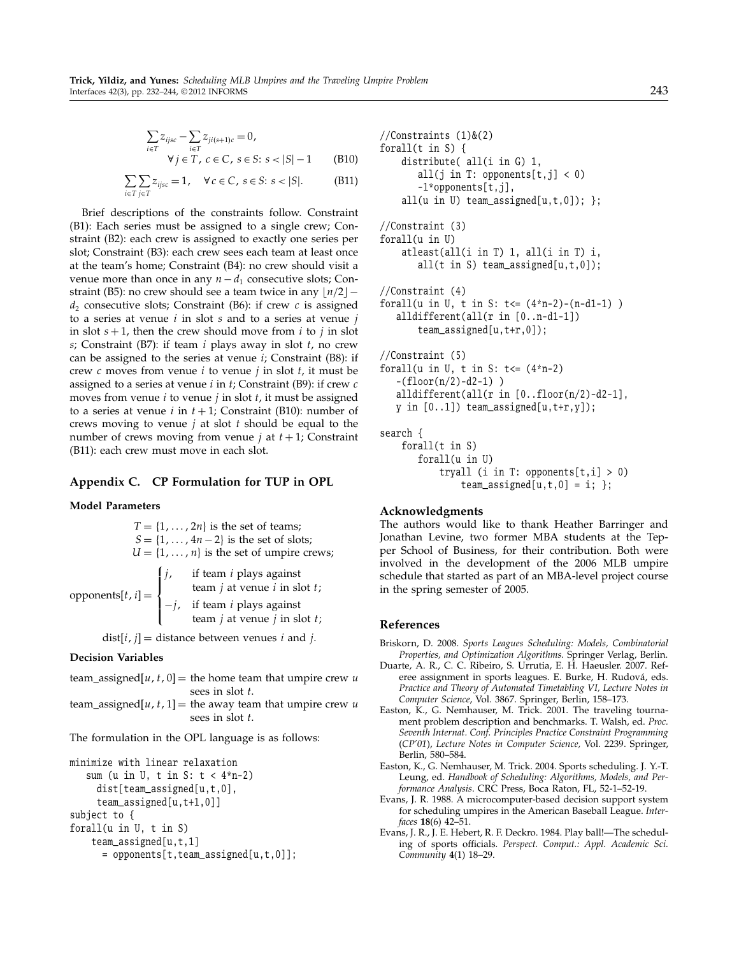$$
\sum_{i\in T} z_{ijsc} - \sum_{i\in T} z_{ji(s+1)c} = 0,
$$

$$
\forall j \in T, \ c \in C, \ s \in S: \ s < |S| - 1 \qquad (B10)
$$

$$
\sum_{i \in T} \sum_{j \in T} z_{ijsc} = 1, \quad \forall \, c \in C, \, s \in S: s < |S|. \tag{B11}
$$

Brief descriptions of the constraints follow. Constraint (B1): Each series must be assigned to a single crew; Constraint (B2): each crew is assigned to exactly one series per slot; Constraint (B3): each crew sees each team at least once at the team's home; Constraint (B4): no crew should visit a venue more than once in any  $n - d_1$  consecutive slots; Constraint (B5): no crew should see a team twice in any  $\lfloor n/2 \rfloor$  $d_2$  consecutive slots; Constraint (B6): if crew  $c$  is assigned to a series at venue  $i$  in slot  $s$  and to a series at venue  $j$ in slot  $s + 1$ , then the crew should move from *i* to *j* in slot s; Constraint (B7): if team  $i$  plays away in slot  $t$ , no crew can be assigned to the series at venue i; Constraint (B8): if crew  $c$  moves from venue  $i$  to venue  $j$  in slot  $t$ , it must be assigned to a series at venue  $i$  in  $t$ ; Constraint (B9): if crew  $c$ moves from venue  $i$  to venue  $j$  in slot  $t$ , it must be assigned to a series at venue i in  $t + 1$ ; Constraint (B10): number of crews moving to venue  $j$  at slot  $t$  should be equal to the number of crews moving from venue  $j$  at  $t + 1$ ; Constraint (B11): each crew must move in each slot.

### Appendix C. CP Formulation for TUP in OPL

#### Model Parameters

| $T = \{1, \ldots, 2n\}$ is the set of teams;      |  |                                                                                                                                                                                                                                                                                                                                                                                                                                                                                                                                                       |  |  |  |  |  |
|---------------------------------------------------|--|-------------------------------------------------------------------------------------------------------------------------------------------------------------------------------------------------------------------------------------------------------------------------------------------------------------------------------------------------------------------------------------------------------------------------------------------------------------------------------------------------------------------------------------------------------|--|--|--|--|--|
| $S = \{1, \ldots, 4n-2\}$ is the set of slots;    |  |                                                                                                                                                                                                                                                                                                                                                                                                                                                                                                                                                       |  |  |  |  |  |
| $U = \{1, \dots, n\}$ is the set of umpire crews; |  |                                                                                                                                                                                                                                                                                                                                                                                                                                                                                                                                                       |  |  |  |  |  |
|                                                   |  | $\left j\right\rangle$ if team <i>i</i> plays against<br>opponents $[t, i] = \begin{cases} \text{t any } j \text{ a regularist} \\ \text{t a } j \text{ a } j \text{ a } j \text{ a } j \text{ a } j \text{ a } j \text{ a } j \text{ a } j \text{ a } j \text{ a } j \text{ a } j \text{ a } j \text{ a } j \text{ a } j \text{ a } j \text{ a } j \text{ a } j \text{ a } j \text{ a } j \text{ a } j \text{ a } j \text{ a } j \text{ a } j \text{ a } j \text{ a } j \text{ a } j \text{ a } j \text{ a } j \text{ a } j \text{ a } j \text{ a }$ |  |  |  |  |  |
|                                                   |  | if team $i$ plays against<br>team $j$ at venue $j$ in slot $t$ ;                                                                                                                                                                                                                                                                                                                                                                                                                                                                                      |  |  |  |  |  |
|                                                   |  |                                                                                                                                                                                                                                                                                                                                                                                                                                                                                                                                                       |  |  |  |  |  |

dist[ $i$ ,  $j$ ] = distance between venues  $i$  and  $j$ .

#### Decision Variables

team\_assigned[ $u, t, 0$ ] = the home team that umpire crew u sees in slot *t*.

team\_assigned[u, t, 1] = the away team that umpire crew u sees in slot  $t$ .

The formulation in the OPL language is as follows:

```
minimize with linear relaxation
   sum (u in U, t in S: t < 4*n-2)
     dist[team_assigned[u,t,0],
     team_assigned[u,t+1,0]]
subject to {
forall(u in U, t in S)
    team_assigned[u,t,1]
     = opponents[t,team_assigned[u,t,0]];
```

```
//Constraints (1)&(2)
forall(t in S) {
    distribute( all(i in G) 1,
       all(j in T: opponents[t,j] < 0)
       -1*opponents[t,j],
    all(u in U) team_assigned[u,t,0]); };
//Constraint (3)
forall(u in U)
    atleast(all(i in T) 1, all(i in T) i,
       all(t in S) team_assigned[u,t,0]);
//Constraint (4)
forall(u in U, t in S: t \leq (4*n-2)-(n-d1-1))
   alldifferent(all(r in [0..n-d1-1])
       team_assigned[u,t+r,0]);
//Constraint (5)
forall(u in U, t in S: t \leq (4*n-2)-(\text{floor}(n/2)-d2-1))
   alldifferent(all(r in [0..floor(n/2)-d2-1],
   y in [0..1]) team_assigned[u, t+r, y]);
search {
    forall(t in S)
       forall(u in U)
           tryall (i in T: opponents[t,i] > 0)
               team_assigned[u,t,0] = i; };
```
#### Acknowledgments

The authors would like to thank Heather Barringer and Jonathan Levine, two former MBA students at the Tepper School of Business, for their contribution. Both were involved in the development of the 2006 MLB umpire schedule that started as part of an MBA-level project course in the spring semester of 2005.

#### References

- Briskorn, D. 2008. Sports Leagues Scheduling: Models, Combinatorial Properties, and Optimization Algorithms. Springer Verlag, Berlin.
- Duarte, A. R., C. C. Ribeiro, S. Urrutia, E. H. Haeusler. 2007. Referee assignment in sports leagues. E. Burke, H. Rudová, eds. Practice and Theory of Automated Timetabling VI, Lecture Notes in Computer Science, Vol. 3867. Springer, Berlin, 158–173.
- Easton, K., G. Nemhauser, M. Trick. 2001. The traveling tournament problem description and benchmarks. T. Walsh, ed. Proc. Seventh Internat. Conf. Principles Practice Constraint Programming (CP'01), Lecture Notes in Computer Science, Vol. 2239. Springer, Berlin, 580–584.
- Easton, K., G. Nemhauser, M. Trick. 2004. Sports scheduling. J. Y.-T. Leung, ed. Handbook of Scheduling: Algorithms, Models, and Performance Analysis. CRC Press, Boca Raton, FL, 52-1–52-19.
- Evans, J. R. 1988. A microcomputer-based decision support system for scheduling umpires in the American Baseball League. Interfaces **18**(6) 42-51.
- Evans, J. R., J. E. Hebert, R. F. Deckro. 1984. Play ball!—The scheduling of sports officials. Perspect. Comput.: Appl. Academic Sci. Community 4(1) 18–29.